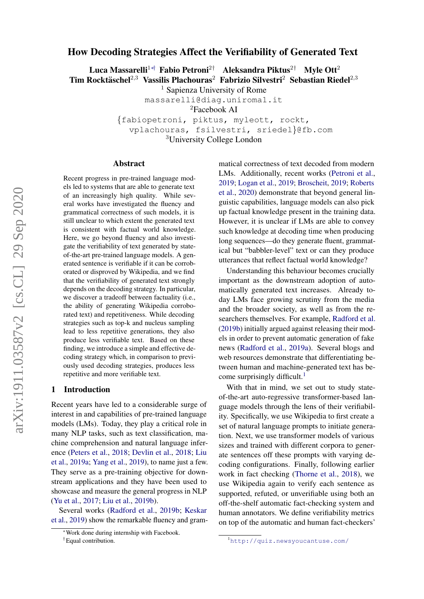# <span id="page-0-0"></span>How Decoding Strategies Affect the Verifiability of Generated Text

Luca Massarelli<sup>1∗†</sup> Fabio Petroni<sup>2†</sup> Aleksandra Piktus<sup>2†</sup> Myle Ott<sup>2</sup> Tim Rocktäschel<sup>2,3</sup> Vassilis Plachouras<sup>2</sup> Fabrizio Silvestri<sup>2</sup> Sebastian Riedel<sup>2,3</sup>

<sup>1</sup> Sapienza University of Rome

massarelli@diag.uniroma1.it

<sup>2</sup>Facebook AI

{fabiopetroni, piktus, myleott, rockt, vplachouras, fsilvestri, sriedel}@fb.com <sup>3</sup>University College London

### Abstract

Recent progress in pre-trained language models led to systems that are able to generate text of an increasingly high quality. While several works have investigated the fluency and grammatical correctness of such models, it is still unclear to which extent the generated text is consistent with factual world knowledge. Here, we go beyond fluency and also investigate the verifiability of text generated by stateof-the-art pre-trained language models. A generated sentence is verifiable if it can be corroborated or disproved by Wikipedia, and we find that the verifiability of generated text strongly depends on the decoding strategy. In particular, we discover a tradeoff between factuality (i.e., the ability of generating Wikipedia corroborated text) and repetitiveness. While decoding strategies such as top-k and nucleus sampling lead to less repetitive generations, they also produce less verifiable text. Based on these finding, we introduce a simple and effective decoding strategy which, in comparison to previously used decoding strategies, produces less repetitive and more verifiable text.

# 1 Introduction

Recent years have led to a considerable surge of interest in and capabilities of pre-trained language models (LMs). Today, they play a critical role in many NLP tasks, such as text classification, machine comprehension and natural language inference [\(Peters et al.,](#page-8-0) [2018;](#page-8-0) [Devlin et al.,](#page-8-1) [2018;](#page-8-1) [Liu](#page-8-2) [et al.,](#page-8-2) [2019a;](#page-8-2) [Yang et al.,](#page-9-0) [2019\)](#page-9-0), to name just a few. They serve as a pre-training objective for downstream applications and they have been used to showcase and measure the general progress in NLP [\(Yu et al.,](#page-9-1) [2017;](#page-9-1) [Liu et al.,](#page-8-3) [2019b\)](#page-8-3).

Several works [\(Radford et al.,](#page-9-2) [2019b;](#page-9-2) [Keskar](#page-8-4) [et al.,](#page-8-4) [2019\)](#page-8-4) show the remarkable fluency and grammatical correctness of text decoded from modern LMs. Additionally, recent works [\(Petroni et al.,](#page-8-5) [2019;](#page-8-5) [Logan et al.,](#page-8-6) [2019;](#page-8-6) [Broscheit,](#page-8-7) [2019;](#page-8-7) [Roberts](#page-9-3) [et al.,](#page-9-3) [2020\)](#page-9-3) demonstrate that beyond general linguistic capabilities, language models can also pick up factual knowledge present in the training data. However, it is unclear if LMs are able to convey such knowledge at decoding time when producing long sequences—do they generate fluent, grammatical but "babbler-level" text or can they produce utterances that reflect factual world knowledge?

Understanding this behaviour becomes crucially important as the downstream adoption of automatically generated text increases. Already today LMs face growing scrutiny from the media and the broader society, as well as from the researchers themselves. For example, [Radford et al.](#page-9-2) [\(2019b\)](#page-9-2) initially argued against releasing their models in order to prevent automatic generation of fake news [\(Radford et al.,](#page-9-4) [2019a\)](#page-9-4). Several blogs and web resources demonstrate that differentiating between human and machine-generated text has become surprisingly difficult.<sup>1</sup>

With that in mind, we set out to study stateof-the-art auto-regressive transformer-based language models through the lens of their verifiability. Specifically, we use Wikipedia to first create a set of natural language prompts to initiate generation. Next, we use transformer models of various sizes and trained with different corpora to generate sentences off these prompts with varying decoding configurations. Finally, following earlier work in fact checking [\(Thorne et al.,](#page-9-5) [2018\)](#page-9-5), we use Wikipedia again to verify each sentence as supported, refuted, or unverifiable using both an off-the-shelf automatic fact-checking system and human annotators. We define verifiability metrics on top of the automatic and human fact-checkers'

<sup>∗</sup>Work done during internship with Facebook.

<sup>†</sup>Equal contribution.

<sup>1</sup><http://quiz.newsyoucantuse.com/>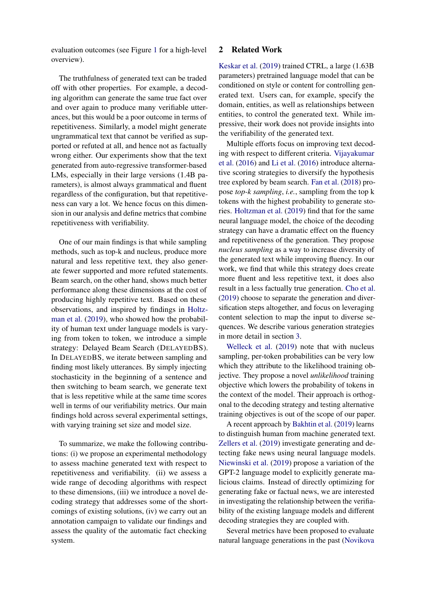evaluation outcomes (see Figure [1](#page-2-0) for a high-level overview).

The truthfulness of generated text can be traded off with other properties. For example, a decoding algorithm can generate the same true fact over and over again to produce many verifiable utterances, but this would be a poor outcome in terms of repetitiveness. Similarly, a model might generate ungrammatical text that cannot be verified as supported or refuted at all, and hence not as factually wrong either. Our experiments show that the text generated from auto-regressive transformer-based LMs, especially in their large versions (1.4B parameters), is almost always grammatical and fluent regardless of the configuration, but that repetitiveness can vary a lot. We hence focus on this dimension in our analysis and define metrics that combine repetitiveness with verifiability.

One of our main findings is that while sampling methods, such as top-k and nucleus, produce more natural and less repetitive text, they also generate fewer supported and more refuted statements. Beam search, on the other hand, shows much better performance along these dimensions at the cost of producing highly repetitive text. Based on these observations, and inspired by findings in [Holtz](#page-8-8)[man et al.](#page-8-8) [\(2019\)](#page-8-8), who showed how the probability of human text under language models is varying from token to token, we introduce a simple strategy: Delayed Beam Search (DELAYEDBS). In DELAYEDBS, we iterate between sampling and finding most likely utterances. By simply injecting stochasticity in the beginning of a sentence and then switching to beam search, we generate text that is less repetitive while at the same time scores well in terms of our verifiability metrics. Our main findings hold across several experimental settings, with varying training set size and model size.

To summarize, we make the following contributions: (i) we propose an experimental methodology to assess machine generated text with respect to repetitiveness and verifiability. (ii) we assess a wide range of decoding algorithms with respect to these dimensions, (iii) we introduce a novel decoding strategy that addresses some of the shortcomings of existing solutions, (iv) we carry out an annotation campaign to validate our findings and assess the quality of the automatic fact checking system.

# 2 Related Work

[Keskar et al.](#page-8-4) [\(2019\)](#page-8-4) trained CTRL, a large (1.63B parameters) pretrained language model that can be conditioned on style or content for controlling generated text. Users can, for example, specify the domain, entities, as well as relationships between entities, to control the generated text. While impressive, their work does not provide insights into the verifiability of the generated text.

Multiple efforts focus on improving text decoding with respect to different criteria. [Vijayakumar](#page-9-6) [et al.](#page-9-6) [\(2016\)](#page-9-6) and [Li et al.](#page-8-9) [\(2016\)](#page-8-9) introduce alternative scoring strategies to diversify the hypothesis tree explored by beam search. [Fan et al.](#page-8-10) [\(2018\)](#page-8-10) propose *top-k sampling*, *i.e.*, sampling from the top k tokens with the highest probability to generate stories. [Holtzman et al.](#page-8-8) [\(2019\)](#page-8-8) find that for the same neural language model, the choice of the decoding strategy can have a dramatic effect on the fluency and repetitiveness of the generation. They propose *nucleus sampling* as a way to increase diversity of the generated text while improving fluency. In our work, we find that while this strategy does create more fluent and less repetitive text, it does also result in a less factually true generation. [Cho et al.](#page-8-11) [\(2019\)](#page-8-11) choose to separate the generation and diversification steps altogether, and focus on leveraging content selection to map the input to diverse sequences. We describe various generation strategies in more detail in section [3.](#page-2-1)

[Welleck et al.](#page-9-7) [\(2019\)](#page-9-7) note that with nucleus sampling, per-token probabilities can be very low which they attribute to the likelihood training objective. They propose a novel *unlikelihood* training objective which lowers the probability of tokens in the context of the model. Their approach is orthogonal to the decoding strategy and testing alternative training objectives is out of the scope of our paper.

A recent approach by [Bakhtin et al.](#page-8-12) [\(2019\)](#page-8-12) learns to distinguish human from machine generated text. [Zellers et al.](#page-9-8) [\(2019\)](#page-9-8) investigate generating and detecting fake news using neural language models. [Niewinski et al.](#page-8-13) [\(2019\)](#page-8-13) propose a variation of the GPT-2 language model to explicitly generate malicious claims. Instead of directly optimizing for generating fake or factual news, we are interested in investigating the relationship between the verifiability of the existing language models and different decoding strategies they are coupled with.

Several metrics have been proposed to evaluate natural language generations in the past [\(Novikova](#page-8-14)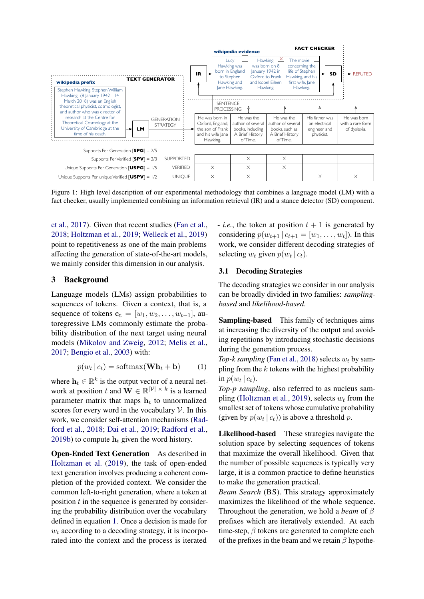<span id="page-2-0"></span>

Figure 1: High level description of our experimental methodology that combines a language model (LM) with a fact checker, usually implemented combining an information retrieval (IR) and a stance detector (SD) component.

[et al.,](#page-8-14) [2017\)](#page-8-14). Given that recent studies [\(Fan et al.,](#page-8-10) [2018;](#page-8-10) [Holtzman et al.,](#page-8-8) [2019;](#page-8-8) [Welleck et al.,](#page-9-7) [2019\)](#page-9-7) point to repetitiveness as one of the main problems affecting the generation of state-of-the-art models, we mainly consider this dimension in our analysis.

# <span id="page-2-1"></span>3 Background

Language models (LMs) assign probabilities to sequences of tokens. Given a context, that is, a sequence of tokens  $c_t = [w_1, w_2, \dots, w_{t-1}]$ , autoregressive LMs commonly estimate the probability distribution of the next target using neural models [\(Mikolov and Zweig,](#page-8-15) [2012;](#page-8-15) [Melis et al.,](#page-8-16) [2017;](#page-8-16) [Bengio et al.,](#page-8-17) [2003\)](#page-8-17) with:

$$
p(w_t | c_t) = \text{softmax}(\mathbf{Wh}_t + \mathbf{b}) \tag{1}
$$

where  $\mathbf{h}_t \in \mathbb{R}^k$  is the output vector of a neural network at position t and  $\mathbf{W} \in \mathbb{R}^{|\mathcal{V}| \times k}$  is a learned parameter matrix that maps  $h_t$  to unnormalized scores for every word in the vocabulary  $\mathcal V$ . In this work, we consider self-attention mechanisms [\(Rad](#page-8-18)[ford et al.,](#page-8-18) [2018;](#page-8-18) [Dai et al.,](#page-8-19) [2019;](#page-8-19) [Radford et al.,](#page-9-2) [2019b\)](#page-9-2) to compute  $h_t$  given the word history.

Open-Ended Text Generation As described in [Holtzman et al.](#page-8-8) [\(2019\)](#page-8-8), the task of open-ended text generation involves producing a coherent completion of the provided context. We consider the common left-to-right generation, where a token at position  $t$  in the sequence is generated by considering the probability distribution over the vocabulary defined in equation [1.](#page-2-2) Once a decision is made for  $w_t$  according to a decoding strategy, it is incorporated into the context and the process is iterated

- *i.e.*, the token at position  $t + 1$  is generated by considering  $p(w_{t+1} | c_{t+1} = [w_1, \ldots, w_t])$ . In this work, we consider different decoding strategies of selecting  $w_t$  given  $p(w_t | c_t)$ .

# <span id="page-2-3"></span>3.1 Decoding Strategies

The decoding strategies we consider in our analysis can be broadly divided in two families: *samplingbased* and *likelihood-based*.

Sampling-based This family of techniques aims at increasing the diversity of the output and avoiding repetitions by introducing stochastic decisions during the generation process.

<span id="page-2-2"></span>*Top-k sampling* [\(Fan et al.,](#page-8-10) [2018\)](#page-8-10) selects  $w_t$  by sampling from the  $k$  tokens with the highest probability in  $p(w_t | c_t)$ .

*Top-p sampling*, also referred to as nucleus sam-pling [\(Holtzman et al.,](#page-8-8) [2019\)](#page-8-8), selects  $w_t$  from the smallest set of tokens whose cumulative probability (given by  $p(w_t | c_t)$ ) is above a threshold p.

Likelihood-based These strategies navigate the solution space by selecting sequences of tokens that maximize the overall likelihood. Given that the number of possible sequences is typically very large, it is a common practice to define heuristics to make the generation practical.

*Beam Search* (BS). This strategy approximately maximizes the likelihood of the whole sequence. Throughout the generation, we hold a *beam* of β prefixes which are iteratively extended. At each time-step,  $\beta$  tokens are generated to complete each of the prefixes in the beam and we retain  $\beta$  hypothe-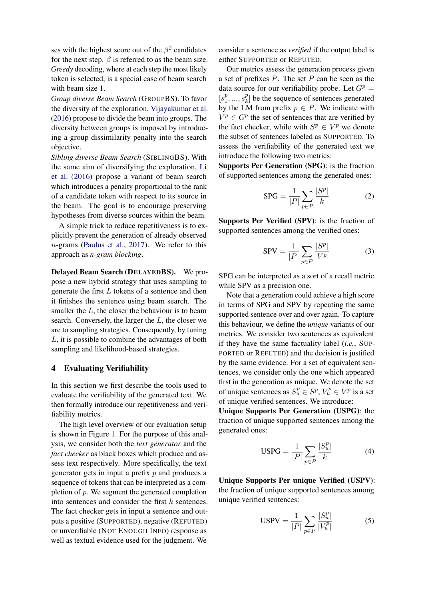ses with the highest score out of the  $\beta^2$  candidates for the next step.  $\beta$  is referred to as the beam size. *Greedy* decoding, where at each step the most likely token is selected, is a special case of beam search with beam size 1.

*Group diverse Beam Search* (GROUPBS). To favor the diversity of the exploration, [Vijayakumar et al.](#page-9-6) [\(2016\)](#page-9-6) propose to divide the beam into groups. The diversity between groups is imposed by introducing a group dissimilarity penalty into the search objective.

*Sibling diverse Beam Search* (SIBLINGBS). With the same aim of diversifying the exploration, [Li](#page-8-9) [et al.](#page-8-9) [\(2016\)](#page-8-9) propose a variant of beam search which introduces a penalty proportional to the rank of a candidate token with respect to its source in the beam. The goal is to encourage preserving hypotheses from diverse sources within the beam.

A simple trick to reduce repetitiveness is to explicitly prevent the generation of already observed n-grams [\(Paulus et al.,](#page-8-20) [2017\)](#page-8-20). We refer to this approach as *n-gram blocking*.

Delayed Beam Search (DELAYEDBS). We propose a new hybrid strategy that uses sampling to generate the first  $L$  tokens of a sentence and then it finishes the sentence using beam search. The smaller the  $L$ , the closer the behaviour is to beam search. Conversely, the larger the  $L$ , the closer we are to sampling strategies. Consequently, by tuning L, it is possible to combine the advantages of both sampling and likelihood-based strategies.

### <span id="page-3-0"></span>4 Evaluating Verifiability

In this section we first describe the tools used to evaluate the verifiability of the generated text. We then formally introduce our repetitiveness and verifiability metrics.

The high level overview of our evaluation setup is shown in Figure [1.](#page-2-0) For the purpose of this analysis, we consider both the *text generator* and the *fact checker* as black boxes which produce and assess text respectively. More specifically, the text generator gets in input a prefix  $p$  and produces a sequence of tokens that can be interpreted as a completion of p. We segment the generated completion into sentences and consider the first  $k$  sentences. The fact checker gets in input a sentence and outputs a positive (SUPPORTED), negative (REFUTED) or unverifiable (NOT ENOUGH INFO) response as well as textual evidence used for the judgment. We

consider a sentence as *verified* if the output label is either SUPPORTED or REFUTED.

Our metrics assess the generation process given a set of prefixes  $P$ . The set  $P$  can be seen as the data source for our verifiability probe. Let  $G<sup>p</sup>$  =  $[s_1^p]$  $j_1^p, ..., s_k^p$  $\binom{p}{k}$  be the sequence of sentences generated by the LM from prefix  $p \in P$ . We indicate with  $V^p \in G^p$  the set of sentences that are verified by the fact checker, while with  $S^p \in V^p$  we denote the subset of sentences labeled as SUPPORTED. To assess the verifiability of the generated text we introduce the following two metrics:

Supports Per Generation (SPG): is the fraction of supported sentences among the generated ones:

$$
SPG = \frac{1}{|P|} \sum_{p \in P} \frac{|S^p|}{k} \tag{2}
$$

Supports Per Verified (SPV): is the fraction of supported sentences among the verified ones:

$$
SPV = \frac{1}{|P|} \sum_{p \in P} \frac{|S^p|}{|V^p|}
$$
 (3)

SPG can be interpreted as a sort of a recall metric while SPV as a precision one.

Note that a generation could achieve a high score in terms of SPG and SPV by repeating the same supported sentence over and over again. To capture this behaviour, we define the *unique* variants of our metrics. We consider two sentences as equivalent if they have the same factuality label (*i.e.*, SUP-PORTED or REFUTED) and the decision is justified by the same evidence. For a set of equivalent sentences, we consider only the one which appeared first in the generation as unique. We denote the set of unique sentences as  $S_u^p \in S^p$ ,  $V_u^p \in V^p$  is a set of unique verified sentences. We introduce:

Unique Supports Per Generation (USPG): the fraction of unique supported sentences among the generated ones:

$$
USPG = \frac{1}{|P|} \sum_{p \in P} \frac{|S_u^p|}{k} \tag{4}
$$

Unique Supports Per unique Verified (USPV): the fraction of unique supported sentences among unique verified sentences:

USPV = 
$$
\frac{1}{|P|} \sum_{p \in P} \frac{|S_u^p|}{|V_u^p|}
$$
 (5)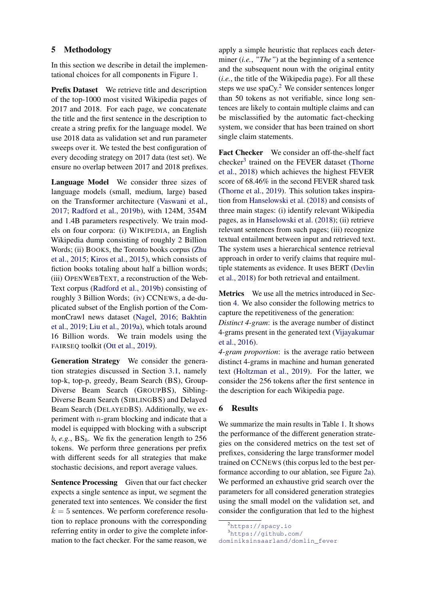# 5 Methodology

In this section we describe in detail the implementational choices for all components in Figure [1.](#page-2-0)

Prefix Dataset We retrieve title and description of the top-1000 most visited Wikipedia pages of 2017 and 2018. For each page, we concatenate the title and the first sentence in the description to create a string prefix for the language model. We use 2018 data as validation set and run parameter sweeps over it. We tested the best configuration of every decoding strategy on 2017 data (test set). We ensure no overlap between 2017 and 2018 prefixes.

Language Model We consider three sizes of language models (small, medium, large) based on the Transformer architecture [\(Vaswani et al.,](#page-9-9) [2017;](#page-9-9) [Radford et al.,](#page-9-2) [2019b\)](#page-9-2), with 124M, 354M and 1.4B parameters respectively. We train models on four corpora: (i) WIKIPEDIA, an English Wikipedia dump consisting of roughly 2 Billion Words; (ii) BOOKS, the Toronto books corpus [\(Zhu](#page-9-10) [et al.,](#page-9-10) [2015;](#page-9-10) [Kiros et al.,](#page-8-21) [2015\)](#page-8-21), which consists of fiction books totaling about half a billion words; (iii) OPENWEBTEXT, a reconstruction of the Web-Text corpus [\(Radford et al.,](#page-9-2) [2019b\)](#page-9-2) consisting of roughly 3 Billion Words; (iv) CCNEWS, a de-duplicated subset of the English portion of the CommonCrawl news dataset [\(Nagel,](#page-8-22) [2016;](#page-8-22) [Bakhtin](#page-8-12) [et al.,](#page-8-12) [2019;](#page-8-12) [Liu et al.,](#page-8-2) [2019a\)](#page-8-2), which totals around 16 Billion words. We train models using the FAIRSEQ toolkit [\(Ott et al.,](#page-8-23) [2019\)](#page-8-23).

Generation Strategy We consider the generation strategies discussed in Section [3.1,](#page-2-3) namely top-k, top-p, greedy, Beam Search (BS), Group-Diverse Beam Search (GROUPBS), Sibling-Diverse Beam Search (SIBLINGBS) and Delayed Beam Search (DELAYEDBS). Additionally, we experiment with n-gram blocking and indicate that a model is equipped with blocking with a subscript  $b, e.g., BS_b$ . We fix the generation length to 256 tokens. We perform three generations per prefix with different seeds for all strategies that make stochastic decisions, and report average values.

Sentence Processing Given that our fact checker expects a single sentence as input, we segment the generated text into sentences. We consider the first  $k = 5$  sentences. We perform coreference resolution to replace pronouns with the corresponding referring entity in order to give the complete information to the fact checker. For the same reason, we

apply a simple heuristic that replaces each determiner (*i.e.*, *"The"*) at the beginning of a sentence and the subsequent noun with the original entity (*i.e.*, the title of the Wikipedia page). For all these steps we use  $spaCy$ .<sup>[2](#page-0-0)</sup> We consider sentences longer than 50 tokens as not verifiable, since long sentences are likely to contain multiple claims and can be misclassified by the automatic fact-checking system, we consider that has been trained on short single claim statements.

Fact Checker We consider an off-the-shelf fact checker<sup>[3](#page-0-0)</sup> trained on the FEVER dataset [\(Thorne](#page-9-5) [et al.,](#page-9-5) [2018\)](#page-9-5) which achieves the highest FEVER score of 68.46% in the second FEVER shared task [\(Thorne et al.,](#page-9-11) [2019\)](#page-9-11). This solution takes inspiration from [Hanselowski et al.](#page-8-24) [\(2018\)](#page-8-24) and consists of three main stages: (i) identify relevant Wikipedia pages, as in [Hanselowski et al.](#page-8-24) [\(2018\)](#page-8-24); (ii) retrieve relevant sentences from such pages; (iii) recognize textual entailment between input and retrieved text. The system uses a hierarchical sentence retrieval approach in order to verify claims that require multiple statements as evidence. It uses BERT [\(Devlin](#page-8-1) [et al.,](#page-8-1) [2018\)](#page-8-1) for both retrieval and entailment.

Metrics We use all the metrics introduced in Section [4.](#page-3-0) We also consider the following metrics to capture the repetitiveness of the generation:

*Distinct 4-gram*: is the average number of distinct 4-grams present in the generated text [\(Vijayakumar](#page-9-6) [et al.,](#page-9-6) [2016\)](#page-9-6).

*4-gram proportion*: is the average ratio between distinct 4-grams in machine and human generated text [\(Holtzman et al.,](#page-8-8) [2019\)](#page-8-8). For the latter, we consider the 256 tokens after the first sentence in the description for each Wikipedia page.

# 6 Results

We summarize the main results in Table [1.](#page-5-0) It shows the performance of the different generation strategies on the considered metrics on the test set of prefixes, considering the large transformer model trained on CCNEWS (this corpus led to the best performance according to our ablation, see Figure [2a\)](#page-6-0). We performed an exhaustive grid search over the parameters for all considered generation strategies using the small model on the validation set, and consider the configuration that led to the highest

 $<sup>2</sup>$ <https://spacy.io></sup>

<sup>3</sup>[https://github.com/](https://github.com/dominiksinsaarland/domlin_fever)

[dominiksinsaarland/domlin\\_fever](https://github.com/dominiksinsaarland/domlin_fever)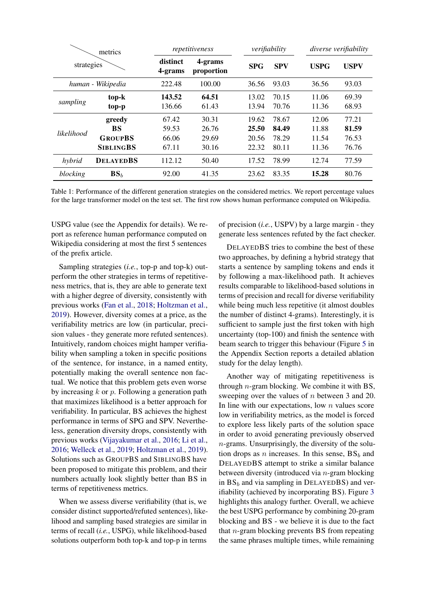<span id="page-5-0"></span>

| metrics<br>strategies |                      | repetitiveness      |                       | verifiability  |                |                | <i>diverse verifiability</i> |  |
|-----------------------|----------------------|---------------------|-----------------------|----------------|----------------|----------------|------------------------------|--|
|                       |                      | distinct<br>4-grams | 4-grams<br>proportion | <b>SPG</b>     | <b>SPV</b>     | <b>USPG</b>    | <b>USPV</b>                  |  |
|                       | human - Wikipedia    | 222.48              | 100.00                | 36.56          | 93.03          | 36.56          | 93.03                        |  |
| sampling              | top-k<br>top-p       | 143.52<br>136.66    | 64.51<br>61.43        | 13.02<br>13.94 | 70.15<br>70.76 | 11.06<br>11.36 | 69.39<br>68.93               |  |
|                       | greedy               | 67.42               | 30.31                 | 19.62          | 78.67          | 12.06          | 77.21                        |  |
| likelihood            | BS<br><b>GROUPBS</b> | 59.53<br>66.06      | 26.76<br>29.69        | 25.50<br>20.56 | 84.49<br>78.29 | 11.88<br>11.54 | 81.59<br>76.53               |  |
|                       | <b>SIBLINGBS</b>     | 67.11               | 30.16                 | 22.32          | 80.11          | 11.36          | 76.76                        |  |
| hybrid                | <b>DELAYEDBS</b>     | 112.12              | 50.40                 | 17.52          | 78.99          | 12.74          | 77.59                        |  |
| blocking              | BS <sub>b</sub>      | 92.00               | 41.35                 | 23.62          | 83.35          | 15.28          | 80.76                        |  |

Table 1: Performance of the different generation strategies on the considered metrics. We report percentage values for the large transformer model on the test set. The first row shows human performance computed on Wikipedia.

USPG value (see the Appendix for details). We report as reference human performance computed on Wikipedia considering at most the first 5 sentences of the prefix article.

Sampling strategies (*i.e.*, top-p and top-k) outperform the other strategies in terms of repetitiveness metrics, that is, they are able to generate text with a higher degree of diversity, consistently with previous works [\(Fan et al.,](#page-8-10) [2018;](#page-8-10) [Holtzman et al.,](#page-8-8) [2019\)](#page-8-8). However, diversity comes at a price, as the verifiability metrics are low (in particular, precision values - they generate more refuted sentences). Intuitively, random choices might hamper verifiability when sampling a token in specific positions of the sentence, for instance, in a named entity, potentially making the overall sentence non factual. We notice that this problem gets even worse by increasing  $k$  or  $p$ . Following a generation path that maximizes likelihood is a better approach for verifiability. In particular, BS achieves the highest performance in terms of SPG and SPV. Nevertheless, generation diversity drops, consistently with previous works [\(Vijayakumar et al.,](#page-9-6) [2016;](#page-9-6) [Li et al.,](#page-8-9) [2016;](#page-8-9) [Welleck et al.,](#page-9-7) [2019;](#page-9-7) [Holtzman et al.,](#page-8-8) [2019\)](#page-8-8). Solutions such as GROUPBS and SIBLINGBS have been proposed to mitigate this problem, and their numbers actually look slightly better than BS in terms of repetitiveness metrics.

When we assess diverse verifiability (that is, we consider distinct supported/refuted sentences), likelihood and sampling based strategies are similar in terms of recall (*i.e.*, USPG), while likelihood-based solutions outperform both top-k and top-p in terms

of precision (*i.e.*, USPV) by a large margin - they generate less sentences refuted by the fact checker.

DELAYEDBS tries to combine the best of these two approaches, by defining a hybrid strategy that starts a sentence by sampling tokens and ends it by following a max-likelihood path. It achieves results comparable to likelihood-based solutions in terms of precision and recall for diverse verifiability while being much less repetitive (it almost doubles the number of distinct 4-grams). Interestingly, it is sufficient to sample just the first token with high uncertainty (top-100) and finish the sentence with beam search to trigger this behaviour (Figure [5](#page-10-0) in the Appendix Section reports a detailed ablation study for the delay length).

Another way of mitigating repetitiveness is through  $n$ -gram blocking. We combine it with BS, sweeping over the values of *n* between 3 and 20. In line with our expectations, low  $n$  values score low in verifiability metrics, as the model is forced to explore less likely parts of the solution space in order to avoid generating previously observed  $n$ -grams. Unsurprisingly, the diversity of the solution drops as *n* increases. In this sense,  $BS_b$  and DELAYEDBS attempt to strike a similar balance between diversity (introduced via  $n$ -gram blocking in  $BS_b$  and via sampling in DELAYEDBS) and verifiability (achieved by incorporating BS). Figure [3](#page-6-1) highlights this analogy further. Overall, we achieve the best USPG performance by combining 20-gram blocking and BS - we believe it is due to the fact that n-gram blocking prevents BS from repeating the same phrases multiple times, while remaining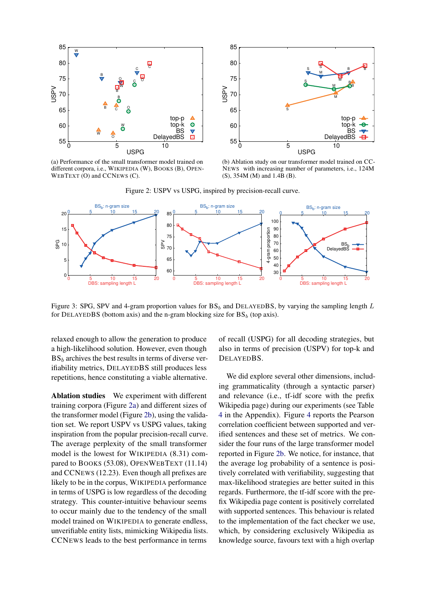<span id="page-6-0"></span>

(a) Performance of the small transformer model trained on different corpora, i.e., WIKIPEDIA (W), BOOKS (B), OPEN-WEBTEXT (O) and CCNEWS (C).



(b) Ablation study on our transformer model trained on CC-NEWS with increasing number of parameters, i.e., 124M (S), 354M (M) and 1.4B (B).



<span id="page-6-1"></span>

Figure 3: SPG, SPV and 4-gram proportion values for  $BS_b$  and DELAYEDBS, by varying the sampling length L for DELAYEDBS (bottom axis) and the n-gram blocking size for  $BS_b$  (top axis).

relaxed enough to allow the generation to produce a high-likelihood solution. However, even though  $BS<sub>b</sub>$  archives the best results in terms of diverse verifiability metrics, DELAYEDBS still produces less repetitions, hence constituting a viable alternative.

Ablation studies We experiment with different training corpora (Figure [2a\)](#page-6-0) and different sizes of the transformer model (Figure [2b\)](#page-6-0), using the validation set. We report USPV vs USPG values, taking inspiration from the popular precision-recall curve. The average perplexity of the small transformer model is the lowest for WIKIPEDIA (8.31) compared to BOOKS (53.08), OPENWEBTEXT (11.14) and CCNEWS (12.23). Even though all prefixes are likely to be in the corpus, WIKIPEDIA performance in terms of USPG is low regardless of the decoding strategy. This counter-intuitive behaviour seems to occur mainly due to the tendency of the small model trained on WIKIPEDIA to generate endless, unverifiable entity lists, mimicking Wikipedia lists. CCNEWS leads to the best performance in terms

of recall (USPG) for all decoding strategies, but also in terms of precision (USPV) for top-k and DELAYEDBS.

We did explore several other dimensions, including grammaticality (through a syntactic parser) and relevance (i.e., tf-idf score with the prefix Wikipedia page) during our experiments (see Table [4](#page-11-0) in the Appendix). Figure [4](#page-7-0) reports the Pearson correlation coefficient between supported and verified sentences and these set of metrics. We consider the four runs of the large transformer model reported in Figure [2b.](#page-6-0) We notice, for instance, that the average log probability of a sentence is positively correlated with verifiability, suggesting that max-likelihood strategies are better suited in this regards. Furthermore, the tf-idf score with the prefix Wikipedia page content is positively correlated with supported sentences. This behaviour is related to the implementation of the fact checker we use, which, by considering exclusively Wikipedia as knowledge source, favours text with a high overlap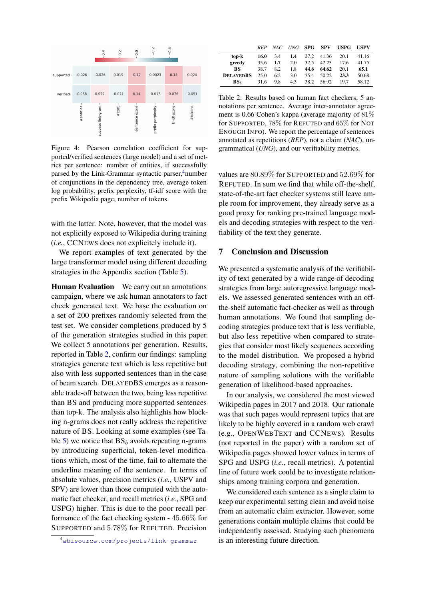<span id="page-7-0"></span>

Figure 4: Pearson correlation coefficient for supported/verified sentences (large model) and a set of metrics per sentence: number of entities, if successfully parsed by the Link-Grammar syntactic parser, $4$ number of conjunctions in the dependency tree, average token log probability, prefix perplexity, tf-idf score with the prefix Wikipedia page, number of tokens.

with the latter. Note, however, that the model was not explicitly exposed to Wikipedia during training (*i.e.*, CCNEWS does not explicitely include it).

We report examples of text generated by the large transformer model using different decoding strategies in the Appendix section (Table [5\)](#page-12-0).

Human Evaluation We carry out an annotations campaign, where we ask human annotators to fact check generated text. We base the evaluation on a set of 200 prefixes randomly selected from the test set. We consider completions produced by 5 of the generation strategies studied in this paper. We collect 5 annotations per generation. Results, reported in Table [2,](#page-7-1) confirm our findings: sampling strategies generate text which is less repetitive but also with less supported sentences than in the case of beam search. DELAYEDBS emerges as a reasonable trade-off between the two, being less repetitive than BS and producing more supported sentences than top-k. The analysis also highlights how blocking n-grams does not really address the repetitive nature of BS. Looking at some examples (see Ta-ble [5\)](#page-12-0) we notice that  $BS_b$  avoids repeating n-grams by introducing superficial, token-level modifications which, most of the time, fail to alternate the underline meaning of the sentence. In terms of absolute values, precision metrics (*i.e.*, USPV and SPV) are lower than those computed with the automatic fact checker, and recall metrics (*i.e.*, SPG and USPG) higher. This is due to the poor recall performance of the fact checking system - 45.66% for SUPPORTED and 5.78% for REFUTED. Precision

<span id="page-7-1"></span>

|                  | <b>RFP</b> | NAC |               | UNG SPG SPV |       | <b>USPG</b> | USPV  |
|------------------|------------|-----|---------------|-------------|-------|-------------|-------|
| top-k            | 16.0       | 3.4 | $1.4^{\circ}$ | 27.2        | 41.36 | 20.1        | 41.16 |
| greedy           | 35.6       | 1.7 | 2.0           | 32.5        | 42.23 | 17.6        | 41.75 |
| BS               | 38.7       | 82  | 1.8           | 44.6        | 64.62 | 20.1        | 65.1  |
| <b>DELAYEDBS</b> | 25.0       | 6.2 | 3.0           | 35.4        | 50.22 | 23.3        | 50.68 |
| $BS_{h}$         | 31.6       | 9.8 | 4.3           | 38.2        | 56.92 | 197         | 58.12 |

Table 2: Results based on human fact checkers, 5 annotations per sentence. Average inter-annotator agreement is 0.66 Cohen's kappa (average majority of 81% for SUPPORTED, 78% for REFUTED and 65% for NOT ENOUGH INFO). We report the percentage of sentences annotated as repetitions (*REP*), not a claim (*NAC*), ungrammatical (*UNG*), and our verifiability metrics.

values are 80.89% for SUPPORTED and 52.69% for REFUTED. In sum we find that while off-the-shelf, state-of-the-art fact checker systems still leave ample room for improvement, they already serve as a good proxy for ranking pre-trained language models and decoding strategies with respect to the verifiability of the text they generate.

### 7 Conclusion and Discussion

We presented a systematic analysis of the verifiability of text generated by a wide range of decoding strategies from large autoregressive language models. We assessed generated sentences with an offthe-shelf automatic fact-checker as well as through human annotations. We found that sampling decoding strategies produce text that is less verifiable, but also less repetitive when compared to strategies that consider most likely sequences according to the model distribution. We proposed a hybrid decoding strategy, combining the non-repetitive nature of sampling solutions with the verifiable generation of likelihood-based approaches.

In our analysis, we considered the most viewed Wikipedia pages in 2017 and 2018. Our rationale was that such pages would represent topics that are likely to be highly covered in a random web crawl (e.g., OPENWEBTEXT and CCNEWS). Results (not reported in the paper) with a random set of Wikipedia pages showed lower values in terms of SPG and USPG (*i.e.*, recall metrics). A potential line of future work could be to investigate relationships among training corpora and generation.

We considered each sentence as a single claim to keep our experimental setting clean and avoid noise from an automatic claim extractor. However, some generations contain multiple claims that could be independently assessed. Studying such phenomena is an interesting future direction.

<sup>4</sup><abisource.com/projects/link-grammar>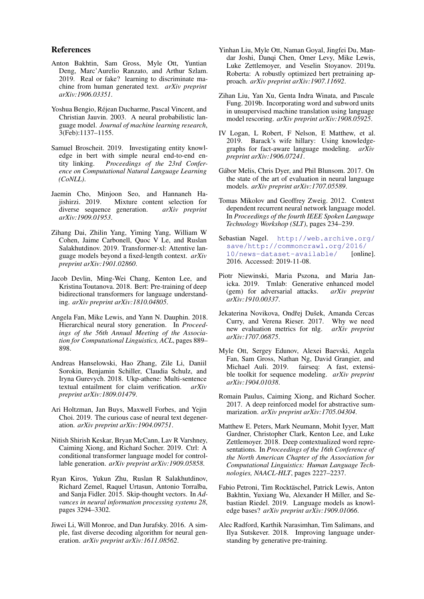### References

- <span id="page-8-12"></span>Anton Bakhtin, Sam Gross, Myle Ott, Yuntian Deng, Marc'Aurelio Ranzato, and Arthur Szlam. 2019. Real or fake? learning to discriminate machine from human generated text. *arXiv preprint arXiv:1906.03351*.
- <span id="page-8-17"></span>Yoshua Bengio, Rejean Ducharme, Pascal Vincent, and ´ Christian Jauvin. 2003. A neural probabilistic language model. *Journal of machine learning research*, 3(Feb):1137–1155.
- <span id="page-8-7"></span>Samuel Broscheit. 2019. Investigating entity knowledge in bert with simple neural end-to-end entity linking. *Proceedings of the 23rd Conference on Computational Natural Language Learning (CoNLL)*.
- <span id="page-8-11"></span>Jaemin Cho, Minjoon Seo, and Hannaneh Hajishirzi. 2019. Mixture content selection for diverse sequence generation. *arXiv preprint arXiv:1909.01953*.
- <span id="page-8-19"></span>Zihang Dai, Zhilin Yang, Yiming Yang, William W Cohen, Jaime Carbonell, Quoc V Le, and Ruslan Salakhutdinov. 2019. Transformer-xl: Attentive language models beyond a fixed-length context. *arXiv preprint arXiv:1901.02860*.
- <span id="page-8-1"></span>Jacob Devlin, Ming-Wei Chang, Kenton Lee, and Kristina Toutanova. 2018. Bert: Pre-training of deep bidirectional transformers for language understanding. *arXiv preprint arXiv:1810.04805*.
- <span id="page-8-10"></span>Angela Fan, Mike Lewis, and Yann N. Dauphin. 2018. Hierarchical neural story generation. In *Proceedings of the 56th Annual Meeting of the Association for Computational Linguistics, ACL*, pages 889– 898.
- <span id="page-8-24"></span>Andreas Hanselowski, Hao Zhang, Zile Li, Daniil Sorokin, Benjamin Schiller, Claudia Schulz, and Iryna Gurevych. 2018. Ukp-athene: Multi-sentence textual entailment for claim verification. *arXiv preprint arXiv:1809.01479*.
- <span id="page-8-8"></span>Ari Holtzman, Jan Buys, Maxwell Forbes, and Yejin Choi. 2019. The curious case of neural text degeneration. *arXiv preprint arXiv:1904.09751*.
- <span id="page-8-4"></span>Nitish Shirish Keskar, Bryan McCann, Lav R Varshney, Caiming Xiong, and Richard Socher. 2019. Ctrl: A conditional transformer language model for controllable generation. *arXiv preprint arXiv:1909.05858*.
- <span id="page-8-21"></span>Ryan Kiros, Yukun Zhu, Ruslan R Salakhutdinov, Richard Zemel, Raquel Urtasun, Antonio Torralba, and Sanja Fidler. 2015. Skip-thought vectors. In *Advances in neural information processing systems 28*, pages 3294–3302.
- <span id="page-8-9"></span>Jiwei Li, Will Monroe, and Dan Jurafsky. 2016. A simple, fast diverse decoding algorithm for neural generation. *arXiv preprint arXiv:1611.08562*.
- <span id="page-8-2"></span>Yinhan Liu, Myle Ott, Naman Goyal, Jingfei Du, Mandar Joshi, Danqi Chen, Omer Levy, Mike Lewis, Luke Zettlemoyer, and Veselin Stoyanov. 2019a. Roberta: A robustly optimized bert pretraining approach. *arXiv preprint arXiv:1907.11692*.
- <span id="page-8-3"></span>Zihan Liu, Yan Xu, Genta Indra Winata, and Pascale Fung. 2019b. Incorporating word and subword units in unsupervised machine translation using language model rescoring. *arXiv preprint arXiv:1908.05925*.
- <span id="page-8-6"></span>IV Logan, L Robert, F Nelson, E Matthew, et al. 2019. Barack's wife hillary: Using knowledgegraphs for fact-aware language modeling. *arXiv preprint arXiv:1906.07241*.
- <span id="page-8-16"></span>Gábor Melis, Chris Dyer, and Phil Blunsom. 2017. On the state of the art of evaluation in neural language models. *arXiv preprint arXiv:1707.05589*.
- <span id="page-8-15"></span>Tomas Mikolov and Geoffrey Zweig. 2012. Context dependent recurrent neural network language model. In *Proceedings of the fourth IEEE Spoken Language Technology Workshop (SLT)*, pages 234–239.
- <span id="page-8-22"></span>Sebastian Nagel. [http://web.archive.org/](http://web.archive.org/save/http://commoncrawl.org/2016/10/news-dataset-available/) [save/http://commoncrawl.org/2016/](http://web.archive.org/save/http://commoncrawl.org/2016/10/news-dataset-available/) [10/news-dataset-available/](http://web.archive.org/save/http://commoncrawl.org/2016/10/news-dataset-available/) [online]. 2016. Accessed: 2019-11-08.
- <span id="page-8-13"></span>Piotr Niewinski, Maria Pszona, and Maria Janicka. 2019. Tmlab: Generative enhanced model (gem) for adversarial attacks. *arXiv preprint arXiv:1910.00337*.
- <span id="page-8-14"></span>Jekaterina Novikova, Ondřej Dušek, Amanda Cercas Curry, and Verena Rieser. 2017. Why we need new evaluation metrics for nlg. *arXiv preprint arXiv:1707.06875*.
- <span id="page-8-23"></span>Myle Ott, Sergey Edunov, Alexei Baevski, Angela Fan, Sam Gross, Nathan Ng, David Grangier, and Michael Auli. 2019. fairseq: A fast, extensible toolkit for sequence modeling. *arXiv preprint arXiv:1904.01038*.
- <span id="page-8-20"></span>Romain Paulus, Caiming Xiong, and Richard Socher. 2017. A deep reinforced model for abstractive summarization. *arXiv preprint arXiv:1705.04304*.
- <span id="page-8-0"></span>Matthew E. Peters, Mark Neumann, Mohit Iyyer, Matt Gardner, Christopher Clark, Kenton Lee, and Luke Zettlemoyer. 2018. Deep contextualized word representations. In *Proceedings of the 16th Conference of the North American Chapter of the Association for Computational Linguistics: Human Language Technologies, NAACL-HLT*, pages 2227–2237.
- <span id="page-8-5"></span>Fabio Petroni, Tim Rocktäschel, Patrick Lewis, Anton Bakhtin, Yuxiang Wu, Alexander H Miller, and Sebastian Riedel. 2019. Language models as knowledge bases? *arXiv preprint arXiv:1909.01066*.
- <span id="page-8-18"></span>Alec Radford, Karthik Narasimhan, Tim Salimans, and Ilya Sutskever. 2018. Improving language understanding by generative pre-training.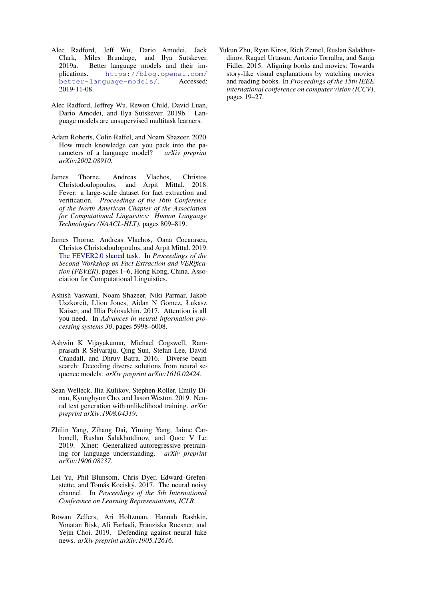- <span id="page-9-4"></span>Alec Radford, Jeff Wu, Dario Amodei, Jack Clark, Miles Brundage, and Ilya Sutskever. 2019a. Better language models and their implications. [https://blog.openai.com/](https://blog.openai.com/better-language-models/) [better-language-models/](https://blog.openai.com/better-language-models/). Accessed: 2019-11-08.
- <span id="page-9-2"></span>Alec Radford, Jeffrey Wu, Rewon Child, David Luan, Dario Amodei, and Ilya Sutskever. 2019b. Language models are unsupervised multitask learners.
- <span id="page-9-3"></span>Adam Roberts, Colin Raffel, and Noam Shazeer. 2020. How much knowledge can you pack into the parameters of a language model? *arXiv preprint arXiv:2002.08910*.
- <span id="page-9-5"></span>James Thorne, Andreas Vlachos, Christos Christodoulopoulos, and Arpit Mittal. 2018. Fever: a large-scale dataset for fact extraction and verification. *Proceedings of the 16th Conference of the North American Chapter of the Association for Computational Linguistics: Human Language Technologies (NAACL-HLT)*, pages 809–819.
- <span id="page-9-11"></span>James Thorne, Andreas Vlachos, Oana Cocarascu, Christos Christodoulopoulos, and Arpit Mittal. 2019. [The FEVER2.0 shared task.](https://doi.org/10.18653/v1/D19-6601) In *Proceedings of the Second Workshop on Fact Extraction and VERification (FEVER)*, pages 1–6, Hong Kong, China. Association for Computational Linguistics.
- <span id="page-9-9"></span>Ashish Vaswani, Noam Shazeer, Niki Parmar, Jakob Uszkoreit, Llion Jones, Aidan N Gomez, Łukasz Kaiser, and Illia Polosukhin. 2017. Attention is all you need. In *Advances in neural information processing systems 30*, pages 5998–6008.
- <span id="page-9-6"></span>Ashwin K Vijayakumar, Michael Cogswell, Ramprasath R Selvaraju, Qing Sun, Stefan Lee, David Crandall, and Dhruv Batra. 2016. Diverse beam search: Decoding diverse solutions from neural sequence models. *arXiv preprint arXiv:1610.02424*.
- <span id="page-9-7"></span>Sean Welleck, Ilia Kulikov, Stephen Roller, Emily Dinan, Kyunghyun Cho, and Jason Weston. 2019. Neural text generation with unlikelihood training. *arXiv preprint arXiv:1908.04319*.
- <span id="page-9-0"></span>Zhilin Yang, Zihang Dai, Yiming Yang, Jaime Carbonell, Ruslan Salakhutdinov, and Quoc V Le. 2019. Xlnet: Generalized autoregressive pretraining for language understanding. *arXiv preprint arXiv:1906.08237*.
- <span id="page-9-1"></span>Lei Yu, Phil Blunsom, Chris Dyer, Edward Grefenstette, and Tomás Kociský. 2017. The neural noisy channel. In *Proceedings of the 5th International Conference on Learning Representations, ICLR*.
- <span id="page-9-8"></span>Rowan Zellers, Ari Holtzman, Hannah Rashkin, Yonatan Bisk, Ali Farhadi, Franziska Roesner, and Yejin Choi. 2019. Defending against neural fake news. *arXiv preprint arXiv:1905.12616*.

<span id="page-9-10"></span>Yukun Zhu, Ryan Kiros, Rich Zemel, Ruslan Salakhutdinov, Raquel Urtasun, Antonio Torralba, and Sanja Fidler. 2015. Aligning books and movies: Towards story-like visual explanations by watching movies and reading books. In *Proceedings of the 15th IEEE international conference on computer vision (ICCV)*, pages 19–27.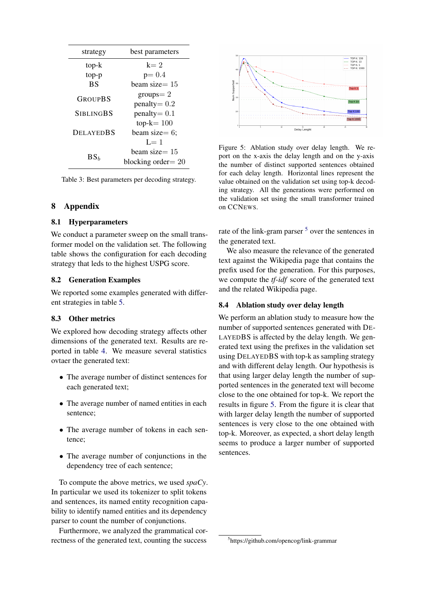| strategy         | best parameters                              |  |  |  |
|------------------|----------------------------------------------|--|--|--|
| top-k            | $k=2$                                        |  |  |  |
| top-p            | $p = 0.4$                                    |  |  |  |
| <b>BS</b>        | beam size $= 15$                             |  |  |  |
| GROUPBS          | $groups = 2$<br>$penalty = 0.2$              |  |  |  |
| <b>SIBLINGBS</b> | $penalty = 0.1$                              |  |  |  |
| <b>DELAYEDBS</b> | $top-k = 100$<br>beam size= $6$ ;<br>$I = 1$ |  |  |  |
| BS <sub>b</sub>  | beam size $=15$<br>blocking order $= 20$     |  |  |  |

Table 3: Best parameters per decoding strategy.

# 8 Appendix

# 8.1 Hyperparameters

We conduct a parameter sweep on the small transformer model on the validation set. The following table shows the configuration for each decoding strategy that leds to the highest USPG score.

## 8.2 Generation Examples

We reported some examples generated with different strategies in table [5.](#page-12-0)

#### 8.3 Other metrics

We explored how decoding strategy affects other dimensions of the generated text. Results are reported in table [4.](#page-11-0) We measure several statistics ovtaer the generated text:

- The average number of distinct sentences for each generated text;
- The average number of named entities in each sentence;
- The average number of tokens in each sentence;
- The average number of conjunctions in the dependency tree of each sentence;

To compute the above metrics, we used *spaCy*. In particular we used its tokenizer to split tokens and sentences, its named entity recognition capability to identify named entities and its dependency parser to count the number of conjunctions.

Furthermore, we analyzed the grammatical correctness of the generated text, counting the success

<span id="page-10-0"></span>

Figure 5: Ablation study over delay length. We report on the x-axis the delay length and on the y-axis the number of distinct supported sentences obtained for each delay length. Horizontal lines represent the value obtained on the validation set using top-k decoding strategy. All the generations were performed on the validation set using the small transformer trained on CCNEWS.

rate of the link-gram parser <sup>[5](#page-0-0)</sup> over the sentences in the generated text.

We also measure the relevance of the generated text against the Wikipedia page that contains the prefix used for the generation. For this purposes, we compute the *tf-idf* score of the generated text and the related Wikipedia page.

### 8.4 Ablation study over delay length

We perform an ablation study to measure how the number of supported sentences generated with DE-LAYEDBS is affected by the delay length. We generated text using the prefixes in the validation set using DELAYEDBS with top-k as sampling strategy and with different delay length. Our hypothesis is that using larger delay length the number of supported sentences in the generated text will become close to the one obtained for top-k. We report the results in figure [5.](#page-10-0) From the figure it is clear that with larger delay length the number of supported sentences is very close to the one obtained with top-k. Moreover, as expected, a short delay length seems to produce a larger number of supported sentences.

<sup>5</sup> https://github.com/opencog/link-grammar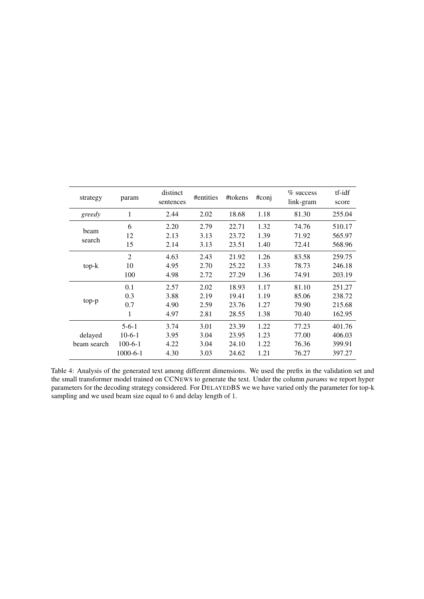<span id="page-11-0"></span>

| strategy               | param                                            | distinct<br>sentences        | #entities                    | #tokens                          | #conj                        | $%$ success<br>link-gram         | tf-idf<br>score                      |
|------------------------|--------------------------------------------------|------------------------------|------------------------------|----------------------------------|------------------------------|----------------------------------|--------------------------------------|
| greedy                 | 1                                                | 2.44                         | 2.02                         | 18.68                            | 1.18                         | 81.30                            | 255.04                               |
| beam                   | 6<br>12                                          | 2.20<br>2.13                 | 2.79<br>3.13                 | 22.71<br>23.72                   | 1.32<br>1.39                 | 74.76<br>71.92                   | 510.17<br>565.97                     |
| search                 | 15                                               | 2.14                         | 3.13                         | 23.51                            | 1.40                         | 72.41                            | 568.96                               |
| top-k                  | $\overline{2}$<br>10<br>100                      | 4.63<br>4.95<br>4.98         | 2.43<br>2.70<br>2.72         | 21.92<br>25.22<br>27.29          | 1.26<br>1.33<br>1.36         | 83.58<br>78.73<br>74.91          | 259.75<br>246.18<br>203.19           |
| top-p                  | 0.1<br>0.3<br>0.7<br>1                           | 2.57<br>3.88<br>4.90<br>4.97 | 2.02<br>2.19<br>2.59<br>2.81 | 18.93<br>19.41<br>23.76<br>28.55 | 1.17<br>1.19<br>1.27<br>1.38 | 81.10<br>85.06<br>79.90<br>70.40 | 251.27<br>238.72<br>215.68<br>162.95 |
| delayed<br>beam search | $5 - 6 - 1$<br>$10-6-1$<br>$100-6-1$<br>1000-6-1 | 3.74<br>3.95<br>4.22<br>4.30 | 3.01<br>3.04<br>3.04<br>3.03 | 23.39<br>23.95<br>24.10<br>24.62 | 1.22<br>1.23<br>1.22<br>1.21 | 77.23<br>77.00<br>76.36<br>76.27 | 401.76<br>406.03<br>399.91<br>397.27 |

Table 4: Analysis of the generated text among different dimensions. We used the prefix in the validation set and the small transformer model trained on CCNEWS to generate the text. Under the column *params* we report hyper parameters for the decoding strategy considered. For DELAYEDBS we we have varied only the parameter for top-k sampling and we used beam size equal to 6 and delay length of 1.